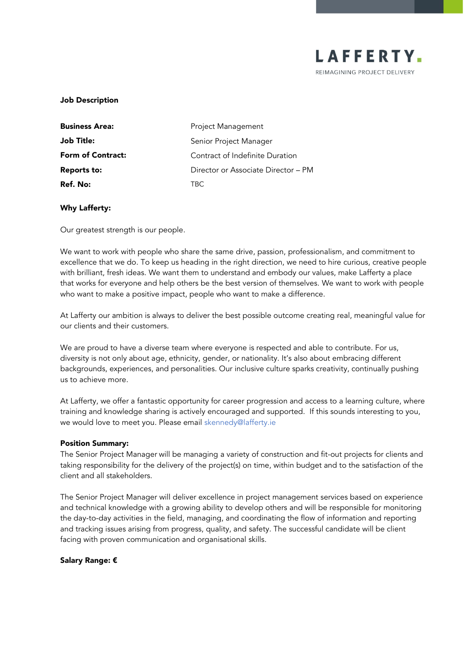

### Job Description

| <b>Business Area:</b>    | Project Management                  |
|--------------------------|-------------------------------------|
| Job Title:               | Senior Project Manager              |
| <b>Form of Contract:</b> | Contract of Indefinite Duration     |
| <b>Reports to:</b>       | Director or Associate Director – PM |
| Ref. No:                 | TRC.                                |

### Why Lafferty:

Our greatest strength is our people.

We want to work with people who share the same drive, passion, professionalism, and commitment to excellence that we do. To keep us heading in the right direction, we need to hire curious, creative people with brilliant, fresh ideas. We want them to understand and embody our values, make Lafferty a place that works for everyone and help others be the best version of themselves. We want to work with people who want to make a positive impact, people who want to make a difference.

At Lafferty our ambition is always to deliver the best possible outcome creating real, meaningful value for our clients and their customers.

We are proud to have a diverse team where everyone is respected and able to contribute. For us, diversity is not only about age, ethnicity, gender, or nationality. It's also about embracing different backgrounds, experiences, and personalities. Our inclusive culture sparks creativity, continually pushing us to achieve more.

At Lafferty, we offer a fantastic opportunity for career progression and access to a learning culture, where training and knowledge sharing is actively encouraged and supported. If this sounds interesting to you, we would love to meet you. Please email [skennedy@lafferty.ie](mailto:skennedy@lafferty.ie)

#### Position Summary:

The Senior Project Manager will be managing a variety of construction and fit-out projects for clients and taking responsibility for the delivery of the project(s) on time, within budget and to the satisfaction of the client and all stakeholders.

The Senior Project Manager will deliver excellence in project management services based on experience and technical knowledge with a growing ability to develop others and will be responsible for monitoring the day-to-day activities in the field, managing, and coordinating the flow of information and reporting and tracking issues arising from progress, quality, and safety. The successful candidate will be client facing with proven communication and organisational skills.

#### Salary Range: €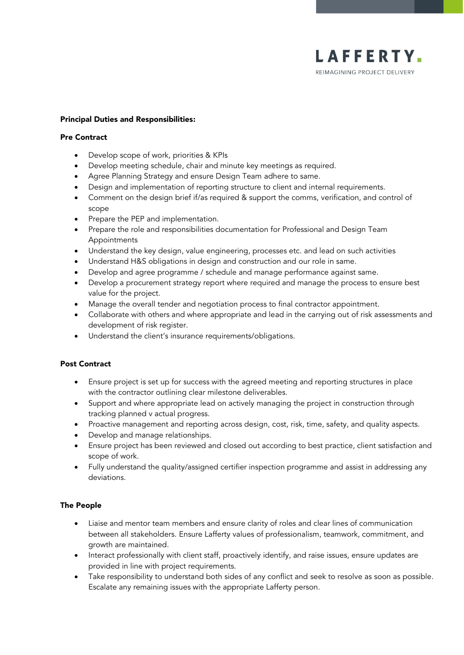

#### Principal Duties and Responsibilities:

#### Pre Contract

- Develop scope of work, priorities & KPIs
- Develop meeting schedule, chair and minute key meetings as required.
- Agree Planning Strategy and ensure Design Team adhere to same.
- Design and implementation of reporting structure to client and internal requirements.
- Comment on the design brief if/as required & support the comms, verification, and control of scope
- Prepare the PEP and implementation.
- Prepare the role and responsibilities documentation for Professional and Design Team Appointments
- Understand the key design, value engineering, processes etc. and lead on such activities
- Understand H&S obligations in design and construction and our role in same.
- Develop and agree programme / schedule and manage performance against same.
- Develop a procurement strategy report where required and manage the process to ensure best value for the project.
- Manage the overall tender and negotiation process to final contractor appointment.
- Collaborate with others and where appropriate and lead in the carrying out of risk assessments and development of risk register.
- Understand the client's insurance requirements/obligations.

# Post Contract

- Ensure project is set up for success with the agreed meeting and reporting structures in place with the contractor outlining clear milestone deliverables.
- Support and where appropriate lead on actively managing the project in construction through tracking planned v actual progress.
- Proactive management and reporting across design, cost, risk, time, safety, and quality aspects.
- Develop and manage relationships.
- Ensure project has been reviewed and closed out according to best practice, client satisfaction and scope of work.
- Fully understand the quality/assigned certifier inspection programme and assist in addressing any deviations.

# The People

- Liaise and mentor team members and ensure clarity of roles and clear lines of communication between all stakeholders. Ensure Lafferty values of professionalism, teamwork, commitment, and growth are maintained.
- Interact professionally with client staff, proactively identify, and raise issues, ensure updates are provided in line with project requirements.
- Take responsibility to understand both sides of any conflict and seek to resolve as soon as possible. Escalate any remaining issues with the appropriate Lafferty person.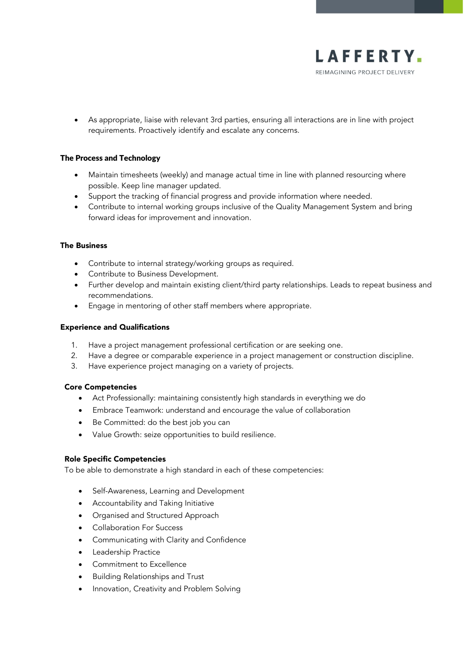

• As appropriate, liaise with relevant 3rd parties, ensuring all interactions are in line with project requirements. Proactively identify and escalate any concerns.

# The Process and Technology

- Maintain timesheets (weekly) and manage actual time in line with planned resourcing where possible. Keep line manager updated.
- Support the tracking of financial progress and provide information where needed.
- Contribute to internal working groups inclusive of the Quality Management System and bring forward ideas for improvement and innovation.

#### The Business

- Contribute to internal strategy/working groups as required.
- Contribute to Business Development.
- Further develop and maintain existing client/third party relationships. Leads to repeat business and recommendations.
- Engage in mentoring of other staff members where appropriate.

### Experience and Qualifications

- 1. Have a project management professional certification or are seeking one.
- 2. Have a degree or comparable experience in a project management or construction discipline.
- 3. Have experience project managing on a variety of projects.

#### Core Competencies

- Act Professionally: maintaining consistently high standards in everything we do
- Embrace Teamwork: understand and encourage the value of collaboration
- Be Committed: do the best job you can
- Value Growth: seize opportunities to build resilience.

#### Role Specific Competencies

To be able to demonstrate a high standard in each of these competencies:

- Self-Awareness, Learning and Development
- Accountability and Taking Initiative
- Organised and Structured Approach
- Collaboration For Success
- Communicating with Clarity and Confidence
- Leadership Practice
- Commitment to Excellence
- Building Relationships and Trust
- Innovation, Creativity and Problem Solving